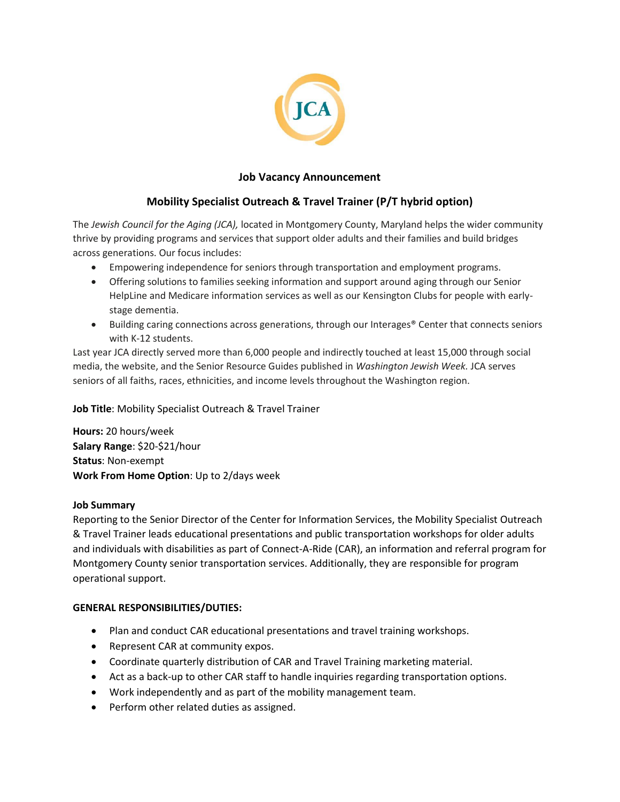

## **Job Vacancy Announcement**

# **Mobility Specialist Outreach & Travel Trainer (P/T hybrid option)**

The *Jewish Council for the Aging (JCA),* located in Montgomery County, Maryland helps the wider community thrive by providing programs and services that support older adults and their families and build bridges across generations. Our focus includes:

- Empowering independence for seniors through transportation and employment programs.
- Offering solutions to families seeking information and support around aging through our Senior HelpLine and Medicare information services as well as our Kensington Clubs for people with earlystage dementia.
- Building caring connections across generations, through our Interages® Center that connects seniors with K-12 students.

Last year JCA directly served more than 6,000 people and indirectly touched at least 15,000 through social media, the website, and the Senior Resource Guides published in *Washington Jewish Week.* JCA serves seniors of all faiths, races, ethnicities, and income levels throughout the Washington region.

**Job Title**: Mobility Specialist Outreach & Travel Trainer

**Hours:** 20 hours/week **Salary Range**: \$20-\$21/hour **Status**: Non-exempt **Work From Home Option**: Up to 2/days week

## **Job Summary**

Reporting to the Senior Director of the Center for Information Services, the Mobility Specialist Outreach & Travel Trainer leads educational presentations and public transportation workshops for older adults and individuals with disabilities as part of Connect-A-Ride (CAR), an information and referral program for Montgomery County senior transportation services. Additionally, they are responsible for program operational support.

## **GENERAL RESPONSIBILITIES/DUTIES:**

- Plan and conduct CAR educational presentations and travel training workshops.
- Represent CAR at community expos.
- Coordinate quarterly distribution of CAR and Travel Training marketing material.
- Act as a back-up to other CAR staff to handle inquiries regarding transportation options.
- Work independently and as part of the mobility management team.
- Perform other related duties as assigned.